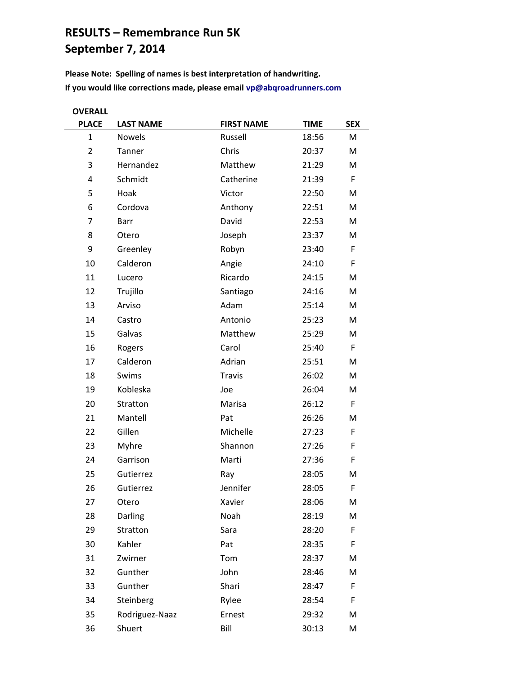## **RESULTS – Remembrance Run 5K September 7, 2014**

**Please Note: Spelling of names is best interpretation of handwriting. If you would like corrections made, please email [vp@abqroadrunners.com](mailto:vp@abqroadrunners.com)**

| <b>OVERALL</b> |                  |                   |             |            |  |  |
|----------------|------------------|-------------------|-------------|------------|--|--|
| <b>PLACE</b>   | <b>LAST NAME</b> | <b>FIRST NAME</b> | <b>TIME</b> | <b>SEX</b> |  |  |
| $\mathbf{1}$   | <b>Nowels</b>    | Russell           | 18:56       | M          |  |  |
| $\overline{2}$ | Tanner           | Chris             | 20:37       | M          |  |  |
| 3              | Hernandez        | Matthew           | 21:29       | M          |  |  |
| 4              | Schmidt          | Catherine         | 21:39       | F          |  |  |
| 5              | Hoak             | Victor            | 22:50       | M          |  |  |
| 6              | Cordova          | Anthony           | 22:51       | M          |  |  |
| 7              | Barr             | David             | 22:53       | M          |  |  |
| 8              | Otero            | Joseph            | 23:37       | M          |  |  |
| 9              | Greenley         | Robyn             | 23:40       | F          |  |  |
| 10             | Calderon         | Angie             | 24:10       | F          |  |  |
| 11             | Lucero           | Ricardo           | 24:15       | M          |  |  |
| 12             | Trujillo         | Santiago          | 24:16       | M          |  |  |
| 13             | Arviso           | Adam              | 25:14       | M          |  |  |
| 14             | Castro           | Antonio           | 25:23       | M          |  |  |
| 15             | Galvas           | Matthew           | 25:29       | M          |  |  |
| 16             | Rogers           | Carol             | 25:40       | F          |  |  |
| 17             | Calderon         | Adrian            | 25:51       | M          |  |  |
| 18             | Swims            | <b>Travis</b>     | 26:02       | M          |  |  |
| 19             | Kobleska         | Joe               | 26:04       | M          |  |  |
| 20             | Stratton         | Marisa            | 26:12       | F          |  |  |
| 21             | Mantell          | Pat               | 26:26       | M          |  |  |
| 22             | Gillen           | Michelle          | 27:23       | F          |  |  |
| 23             | Myhre            | Shannon           | 27:26       | F          |  |  |
| 24             | Garrison         | Marti             | 27:36       | F          |  |  |
| 25             | Gutierrez        | Ray               | 28:05       | M          |  |  |
| 26             | Gutierrez        | Jennifer          | 28:05       | F          |  |  |
| 27             | Otero            | Xavier            | 28:06       | M          |  |  |
| 28             | Darling          | Noah              | 28:19       | M          |  |  |
| 29             | Stratton         | Sara              | 28:20       | F          |  |  |
| 30             | Kahler           | Pat               | 28:35       | F          |  |  |
| 31             | Zwirner          | Tom               | 28:37       | M          |  |  |
| 32             | Gunther          | John              | 28:46       | M          |  |  |
| 33             | Gunther          | Shari             | 28:47       | F          |  |  |
| 34             | Steinberg        | Rylee             | 28:54       | F          |  |  |
| 35             | Rodriguez-Naaz   | Ernest            | 29:32       | M          |  |  |
| 36             | Shuert           | Bill              | 30:13       | M          |  |  |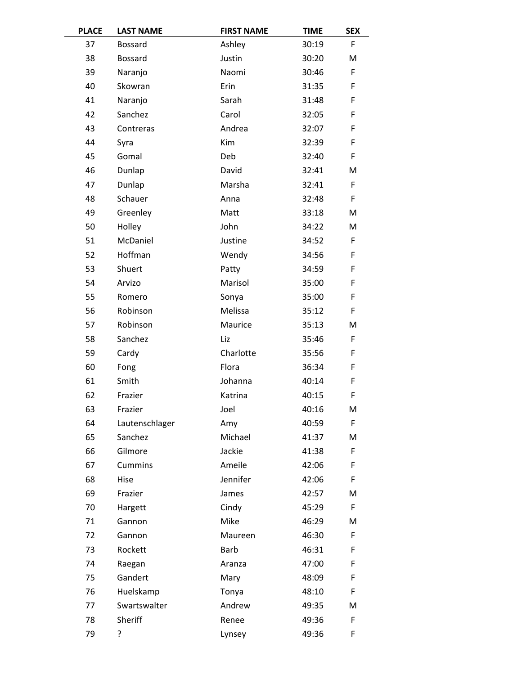| <b>PLACE</b> | <b>LAST NAME</b> | <b>FIRST NAME</b> | <b>TIME</b> | <b>SEX</b> |
|--------------|------------------|-------------------|-------------|------------|
| 37           | <b>Bossard</b>   | Ashley            | 30:19       | F          |
| 38           | <b>Bossard</b>   | Justin            | 30:20       | M          |
| 39           | Naranjo          | Naomi             | 30:46       | F          |
| 40           | Skowran          | Erin              | 31:35       | F          |
| 41           | Naranjo          | Sarah             | 31:48       | F          |
| 42           | Sanchez          | Carol             | 32:05       | F          |
| 43           | Contreras        | Andrea            | 32:07       | F          |
| 44           | Syra             | Kim               | 32:39       | F          |
| 45           | Gomal            | Deb               | 32:40       | F          |
| 46           | Dunlap           | David             | 32:41       | M          |
| 47           | Dunlap           | Marsha            | 32:41       | F          |
| 48           | Schauer          | Anna              | 32:48       | F          |
| 49           | Greenley         | Matt              | 33:18       | M          |
| 50           | Holley           | John              | 34:22       | М          |
| 51           | McDaniel         | Justine           | 34:52       | F          |
| 52           | Hoffman          | Wendy             | 34:56       | F          |
| 53           | Shuert           | Patty             | 34:59       | F          |
| 54           | Arvizo           | Marisol           | 35:00       | F          |
| 55           | Romero           | Sonya             | 35:00       | F          |
| 56           | Robinson         | Melissa           | 35:12       | F          |
| 57           | Robinson         | Maurice           | 35:13       | M          |
| 58           | Sanchez          | Liz               | 35:46       | F          |
| 59           | Cardy            | Charlotte         | 35:56       | F          |
| 60           | Fong             | Flora             | 36:34       | F          |
| 61           | Smith            | Johanna           | 40:14       | F          |
| 62           | Frazier          | Katrina           | 40:15       | F          |
| 63           | Frazier          | Joel              | 40:16       | M          |
| 64           | Lautenschlager   | Amy               | 40:59       | F          |
| 65           | Sanchez          | Michael           | 41:37       | M          |
| 66           | Gilmore          | Jackie            | 41:38       | F          |
| 67           | <b>Cummins</b>   | Ameile            | 42:06       | F          |
| 68           | Hise             | Jennifer          | 42:06       | F          |
| 69           | Frazier          | James             | 42:57       | M          |
| 70           | Hargett          | Cindy             | 45:29       | F          |
| 71           | Gannon           | Mike              | 46:29       | M          |
| 72           | Gannon           | Maureen           | 46:30       | F          |
| 73           | Rockett          | <b>Barb</b>       | 46:31       | F          |
| 74           | Raegan           | Aranza            | 47:00       | F          |
| 75           | Gandert          | Mary              | 48:09       | F          |
| 76           | Huelskamp        | Tonya             | 48:10       | F          |
| 77           | Swartswalter     | Andrew            | 49:35       | M          |
| 78           | Sheriff          | Renee             | 49:36       | F          |
| 79           | ?                | Lynsey            | 49:36       | F          |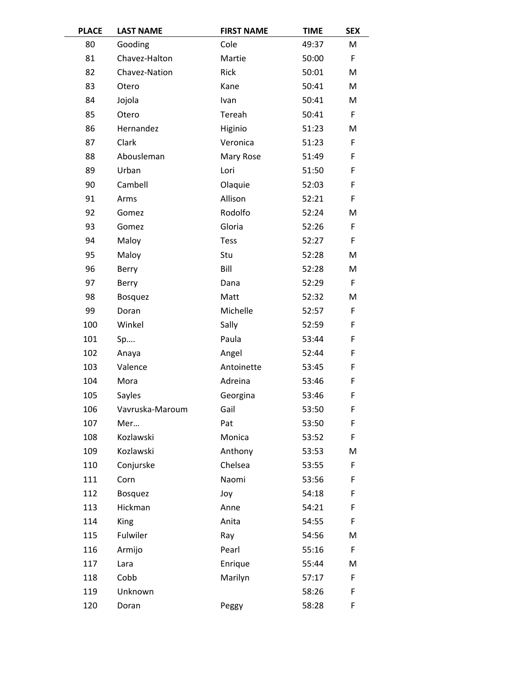| <b>PLACE</b> | <b>LAST NAME</b> | <b>FIRST NAME</b> | <b>TIME</b> | <b>SEX</b> |
|--------------|------------------|-------------------|-------------|------------|
| 80           | Gooding          | Cole              | 49:37       | M          |
| 81           | Chavez-Halton    | Martie            | 50:00       | F          |
| 82           | Chavez-Nation    | Rick              | 50:01       | M          |
| 83           | Otero            | Kane              | 50:41       | M          |
| 84           | Jojola           | Ivan              | 50:41       | M          |
| 85           | Otero            | Tereah            | 50:41       | F          |
| 86           | Hernandez        | Higinio           | 51:23       | M          |
| 87           | Clark            | Veronica          | 51:23       | F          |
| 88           | Abousleman       | Mary Rose         | 51:49       | F          |
| 89           | Urban            | Lori              | 51:50       | F          |
| 90           | Cambell          | Olaquie           | 52:03       | F          |
| 91           | Arms             | Allison           | 52:21       | F          |
| 92           | Gomez            | Rodolfo           | 52:24       | M          |
| 93           | Gomez            | Gloria            | 52:26       | F          |
| 94           | Maloy            | Tess              | 52:27       | F          |
| 95           | Maloy            | Stu               | 52:28       | M          |
| 96           | Berry            | Bill              | 52:28       | M          |
| 97           | Berry            | Dana              | 52:29       | F          |
| 98           | <b>Bosquez</b>   | Matt              | 52:32       | M          |
| 99           | Doran            | Michelle          | 52:57       | F          |
| 100          | Winkel           | Sally             | 52:59       | F          |
| 101          | Sp               | Paula             | 53:44       | F          |
| 102          | Anaya            | Angel             | 52:44       | F          |
| 103          | Valence          | Antoinette        | 53:45       | F          |
| 104          | Mora             | Adreina           | 53:46       | F          |
| 105          | Sayles           | Georgina          | 53:46       | F          |
| 106          | Vavruska-Maroum  | Gail              | 53:50       | F          |
| 107          | Mer              | Pat               | 53:50       | F          |
| 108          | Kozlawski        | Monica            | 53:52       | F          |
| 109          | Kozlawski        | Anthony           | 53:53       | M          |
| 110          | Conjurske        | Chelsea           | 53:55       | F          |
| 111          | Corn             | Naomi             | 53:56       | F          |
| 112          | <b>Bosquez</b>   | Joy               | 54:18       | F          |
| 113          | Hickman          | Anne              | 54:21       | F          |
| 114          | <b>King</b>      | Anita             | 54:55       | F          |
| 115          | Fulwiler         | Ray               | 54:56       | M          |
| 116          | Armijo           | Pearl             | 55:16       | F          |
| 117          | Lara             | Enrique           | 55:44       | M          |
| 118          | Cobb             | Marilyn           | 57:17       | F          |
| 119          | Unknown          |                   | 58:26       | F          |
| 120          | Doran            | Peggy             | 58:28       | F          |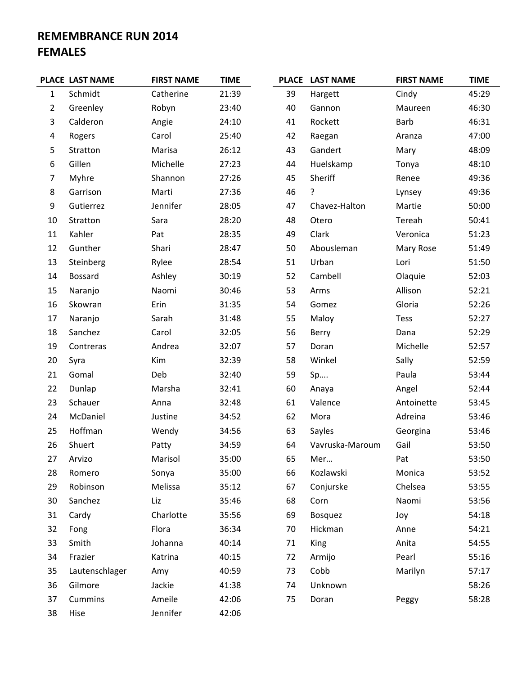## **REMEMBRANCE RUN 2014 FEMALES**

|                  | PLACE LAST NAME | <b>FIRST NAME</b> | <b>TIME</b> |    | PLACE LAST NAME | <b>FIRST NAME</b> | <b>TIME</b> |
|------------------|-----------------|-------------------|-------------|----|-----------------|-------------------|-------------|
| $\mathbf{1}$     | Schmidt         | Catherine         | 21:39       | 39 | Hargett         | Cindy             | 45:29       |
| $\overline{2}$   | Greenley        | Robyn             | 23:40       | 40 | Gannon          | Maureen           | 46:30       |
| 3                | Calderon        | Angie             | 24:10       | 41 | Rockett         | <b>Barb</b>       | 46:31       |
| $\overline{4}$   | Rogers          | Carol             | 25:40       | 42 | Raegan          | Aranza            | 47:00       |
| 5                | Stratton        | Marisa            | 26:12       | 43 | Gandert         | Mary              | 48:09       |
| 6                | Gillen          | Michelle          | 27:23       | 44 | Huelskamp       | Tonya             | 48:10       |
| $\overline{7}$   | Myhre           | Shannon           | 27:26       | 45 | Sheriff         | Renee             | 49:36       |
| $\,8\,$          | Garrison        | Marti             | 27:36       | 46 | ?               | Lynsey            | 49:36       |
| $\boldsymbol{9}$ | Gutierrez       | Jennifer          | 28:05       | 47 | Chavez-Halton   | Martie            | 50:00       |
| 10               | Stratton        | Sara              | 28:20       | 48 | Otero           | Tereah            | 50:41       |
| 11               | Kahler          | Pat               | 28:35       | 49 | Clark           | Veronica          | 51:23       |
| 12               | Gunther         | Shari             | 28:47       | 50 | Abousleman      | Mary Rose         | 51:49       |
| 13               | Steinberg       | Rylee             | 28:54       | 51 | Urban           | Lori              | 51:50       |
| 14               | <b>Bossard</b>  | Ashley            | 30:19       | 52 | Cambell         | Olaquie           | 52:03       |
| 15               | Naranjo         | Naomi             | 30:46       | 53 | Arms            | Allison           | 52:21       |
| 16               | Skowran         | Erin              | 31:35       | 54 | Gomez           | Gloria            | 52:26       |
| 17               | Naranjo         | Sarah             | 31:48       | 55 | Maloy           | <b>Tess</b>       | 52:27       |
| 18               | Sanchez         | Carol             | 32:05       | 56 | Berry           | Dana              | 52:29       |
| 19               | Contreras       | Andrea            | 32:07       | 57 | Doran           | Michelle          | 52:57       |
| 20               | Syra            | Kim               | 32:39       | 58 | Winkel          | Sally             | 52:59       |
| 21               | Gomal           | Deb               | 32:40       | 59 | Sp              | Paula             | 53:44       |
| 22               | Dunlap          | Marsha            | 32:41       | 60 | Anaya           | Angel             | 52:44       |
| 23               | Schauer         | Anna              | 32:48       | 61 | Valence         | Antoinette        | 53:45       |
| 24               | McDaniel        | Justine           | 34:52       | 62 | Mora            | Adreina           | 53:46       |
| 25               | Hoffman         | Wendy             | 34:56       | 63 | Sayles          | Georgina          | 53:46       |
| 26               | Shuert          | Patty             | 34:59       | 64 | Vavruska-Maroum | Gail              | 53:50       |
| 27               | Arvizo          | Marisol           | 35:00       | 65 | Mer             | Pat               | 53:50       |
| 28               | Romero          | Sonya             | 35:00       | 66 | Kozlawski       | Monica            | 53:52       |
| 29               | Robinson        | Melissa           | 35:12       | 67 | Conjurske       | Chelsea           | 53:55       |
| 30               | Sanchez         | Liz               | 35:46       | 68 | Corn            | Naomi             | 53:56       |
| 31               | Cardy           | Charlotte         | 35:56       | 69 | <b>Bosquez</b>  | Joy               | 54:18       |
| 32               | Fong            | Flora             | 36:34       | 70 | Hickman         | Anne              | 54:21       |
| 33               | Smith           | Johanna           | 40:14       | 71 | <b>King</b>     | Anita             | 54:55       |
| 34               | Frazier         | Katrina           | 40:15       | 72 | Armijo          | Pearl             | 55:16       |
| 35               | Lautenschlager  | Amy               | 40:59       | 73 | Cobb            | Marilyn           | 57:17       |
| 36               | Gilmore         | Jackie            | 41:38       | 74 | Unknown         |                   | 58:26       |
| 37               | <b>Cummins</b>  | Ameile            | 42:06       | 75 | Doran           | Peggy             | 58:28       |
| 38               | Hise            | Jennifer          | 42:06       |    |                 |                   |             |